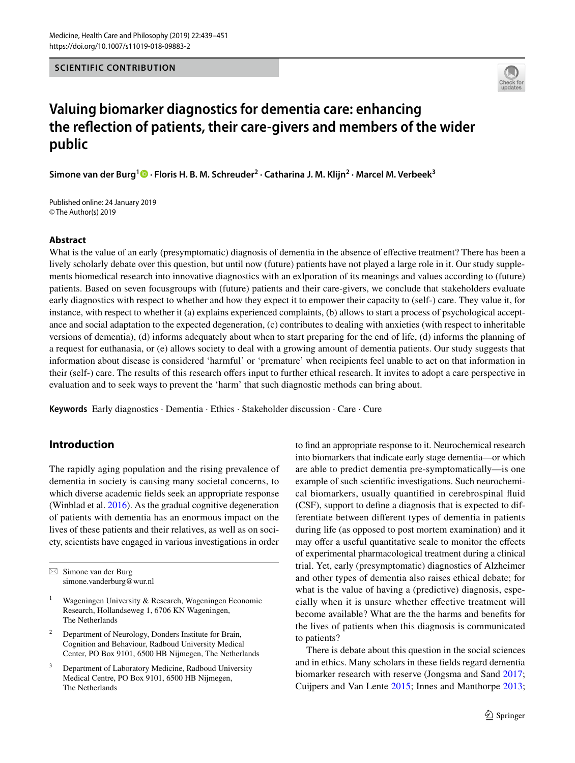

# **Valuing biomarker diagnostics for dementia care: enhancing the reflection of patients, their care-givers and members of the wider public**

**Simone van der Burg<sup>1</sup> · Floris H. B. M. Schreuder2 · Catharina J. M. Klijn2 · Marcel M. Verbeek3**

Published online: 24 January 2019 © The Author(s) 2019

### **Abstract**

What is the value of an early (presymptomatic) diagnosis of dementia in the absence of effective treatment? There has been a lively scholarly debate over this question, but until now (future) patients have not played a large role in it. Our study supplements biomedical research into innovative diagnostics with an exlporation of its meanings and values according to (future) patients. Based on seven focusgroups with (future) patients and their care-givers, we conclude that stakeholders evaluate early diagnostics with respect to whether and how they expect it to empower their capacity to (self-) care. They value it, for instance, with respect to whether it (a) explains experienced complaints, (b) allows to start a process of psychological acceptance and social adaptation to the expected degeneration, (c) contributes to dealing with anxieties (with respect to inheritable versions of dementia), (d) informs adequately about when to start preparing for the end of life, (d) informs the planning of a request for euthanasia, or (e) allows society to deal with a growing amount of dementia patients. Our study suggests that information about disease is considered 'harmful' or 'premature' when recipients feel unable to act on that information in their (self-) care. The results of this research offers input to further ethical research. It invites to adopt a care perspective in evaluation and to seek ways to prevent the 'harm' that such diagnostic methods can bring about.

**Keywords** Early diagnostics · Dementia · Ethics · Stakeholder discussion · Care · Cure

# **Introduction**

The rapidly aging population and the rising prevalence of dementia in society is causing many societal concerns, to which diverse academic fields seek an appropriate response (Winblad et al. [2016\)](#page-12-0). As the gradual cognitive degeneration of patients with dementia has an enormous impact on the lives of these patients and their relatives, as well as on society, scientists have engaged in various investigations in order

 $\boxtimes$  Simone van der Burg simone.vanderburg@wur.nl

- Wageningen University & Research, Wageningen Economic Research, Hollandseweg 1, 6706 KN Wageningen, The Netherlands
- <sup>2</sup> Department of Neurology, Donders Institute for Brain, Cognition and Behaviour, Radboud University Medical Center, PO Box 9101, 6500 HB Nijmegen, The Netherlands
- Department of Laboratory Medicine, Radboud University Medical Centre, PO Box 9101, 6500 HB Nijmegen, The Netherlands

to find an appropriate response to it. Neurochemical research into biomarkers that indicate early stage dementia—or which are able to predict dementia pre-symptomatically—is one example of such scientific investigations. Such neurochemical biomarkers, usually quantified in cerebrospinal fluid (CSF), support to define a diagnosis that is expected to differentiate between different types of dementia in patients during life (as opposed to post mortem examination) and it may offer a useful quantitative scale to monitor the effects of experimental pharmacological treatment during a clinical trial. Yet, early (presymptomatic) diagnostics of Alzheimer and other types of dementia also raises ethical debate; for what is the value of having a (predictive) diagnosis, especially when it is unsure whether effective treatment will become available? What are the the harms and benefits for the lives of patients when this diagnosis is communicated to patients?

There is debate about this question in the social sciences and in ethics. Many scholars in these fields regard dementia biomarker research with reserve (Jongsma and Sand [2017](#page-11-0); Cuijpers and Van Lente [2015;](#page-11-1) Innes and Manthorpe [2013](#page-11-2);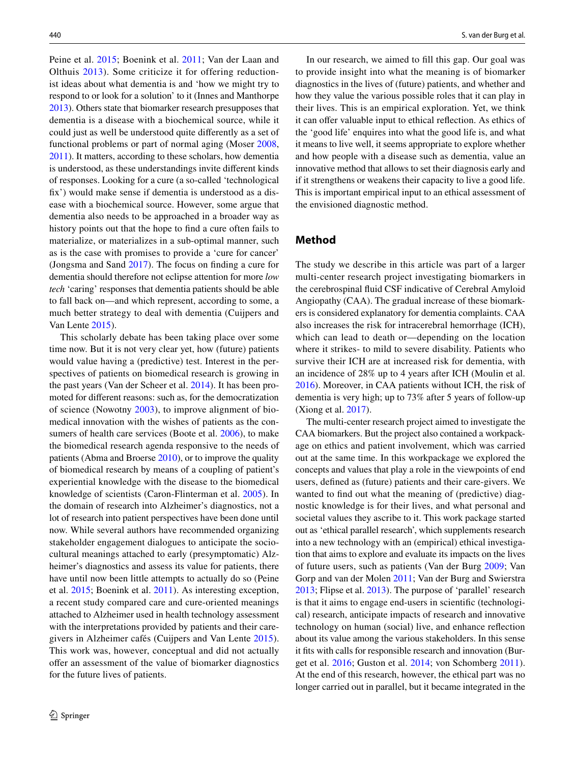Peine et al. [2015](#page-12-1); Boenink et al. [2011](#page-11-3); Van der Laan and Olthuis [2013\)](#page-12-2). Some criticize it for offering reductionist ideas about what dementia is and 'how we might try to respond to or look for a solution' to it (Innes and Manthorpe [2013\)](#page-11-2). Others state that biomarker research presupposes that dementia is a disease with a biochemical source, while it could just as well be understood quite differently as a set of functional problems or part of normal aging (Moser [2008,](#page-11-4) [2011\)](#page-11-5). It matters, according to these scholars, how dementia is understood, as these understandings invite different kinds of responses. Looking for a cure (a so-called 'technological fix') would make sense if dementia is understood as a disease with a biochemical source. However, some argue that dementia also needs to be approached in a broader way as history points out that the hope to find a cure often fails to materialize, or materializes in a sub-optimal manner, such as is the case with promises to provide a 'cure for cancer' (Jongsma and Sand [2017](#page-11-0)). The focus on finding a cure for dementia should therefore not eclipse attention for more *low tech* 'caring' responses that dementia patients should be able to fall back on—and which represent, according to some, a much better strategy to deal with dementia (Cuijpers and Van Lente [2015](#page-11-1)).

This scholarly debate has been taking place over some time now. But it is not very clear yet, how (future) patients would value having a (predictive) test. Interest in the perspectives of patients on biomedical research is growing in the past years (Van der Scheer et al. [2014\)](#page-12-3). It has been promoted for different reasons: such as, for the democratization of science (Nowotny [2003](#page-12-4)), to improve alignment of biomedical innovation with the wishes of patients as the con-sumers of health care services (Boote et al. [2006](#page-11-6)), to make the biomedical research agenda responsive to the needs of patients (Abma and Broerse [2010\)](#page-11-7), or to improve the quality of biomedical research by means of a coupling of patient's experiential knowledge with the disease to the biomedical knowledge of scientists (Caron-Flinterman et al. [2005\)](#page-11-8). In the domain of research into Alzheimer's diagnostics, not a lot of research into patient perspectives have been done until now. While several authors have recommended organizing stakeholder engagement dialogues to anticipate the sociocultural meanings attached to early (presymptomatic) Alzheimer's diagnostics and assess its value for patients, there have until now been little attempts to actually do so (Peine et al. [2015;](#page-12-1) Boenink et al. [2011\)](#page-11-3). As interesting exception, a recent study compared care and cure-oriented meanings attached to Alzheimer used in health technology assessment with the interpretations provided by patients and their caregivers in Alzheimer cafés (Cuijpers and Van Lente [2015](#page-11-1)). This work was, however, conceptual and did not actually offer an assessment of the value of biomarker diagnostics for the future lives of patients.

In our research, we aimed to fill this gap. Our goal was to provide insight into what the meaning is of biomarker diagnostics in the lives of (future) patients, and whether and how they value the various possible roles that it can play in their lives. This is an empirical exploration. Yet, we think it can offer valuable input to ethical reflection. As ethics of the 'good life' enquires into what the good life is, and what it means to live well, it seems appropriate to explore whether and how people with a disease such as dementia, value an innovative method that allows to set their diagnosis early and if it strengthens or weakens their capacity to live a good life. This is important empirical input to an ethical assessment of the envisioned diagnostic method.

### **Method**

The study we describe in this article was part of a larger multi-center research project investigating biomarkers in the cerebrospinal fluid CSF indicative of Cerebral Amyloid Angiopathy (CAA). The gradual increase of these biomarkers is considered explanatory for dementia complaints. CAA also increases the risk for intracerebral hemorrhage (ICH), which can lead to death or—depending on the location where it strikes- to mild to severe disability. Patients who survive their ICH are at increased risk for dementia, with an incidence of 28% up to 4 years after ICH (Moulin et al. [2016](#page-11-9)). Moreover, in CAA patients without ICH, the risk of dementia is very high; up to 73% after 5 years of follow-up (Xiong et al. [2017](#page-12-5)).

The multi-center research project aimed to investigate the CAA biomarkers. But the project also contained a workpackage on ethics and patient involvement, which was carried out at the same time. In this workpackage we explored the concepts and values that play a role in the viewpoints of end users, defined as (future) patients and their care-givers. We wanted to find out what the meaning of (predictive) diagnostic knowledge is for their lives, and what personal and societal values they ascribe to it. This work package started out as 'ethical parallel research', which supplements research into a new technology with an (empirical) ethical investigation that aims to explore and evaluate its impacts on the lives of future users, such as patients (Van der Burg [2009](#page-12-6); Van Gorp and van der Molen [2011;](#page-12-7) Van der Burg and Swierstra [2013](#page-12-8); Flipse et al. [2013](#page-11-10)). The purpose of 'parallel' research is that it aims to engage end-users in scientific (technological) research, anticipate impacts of research and innovative technology on human (social) live, and enhance reflection about its value among the various stakeholders. In this sense it fits with calls for responsible research and innovation (Burget et al. [2016;](#page-11-11) Guston et al. [2014;](#page-11-12) von Schomberg [2011](#page-12-9)). At the end of this research, however, the ethical part was no longer carried out in parallel, but it became integrated in the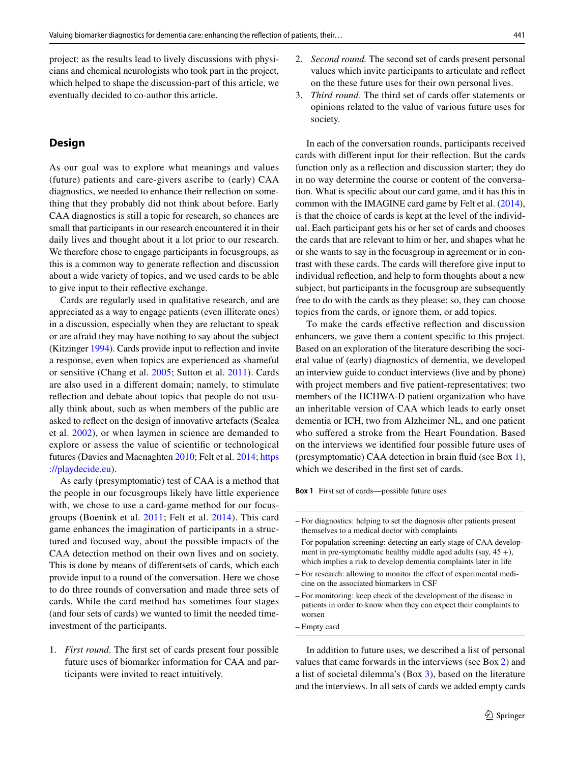project: as the results lead to lively discussions with physicians and chemical neurologists who took part in the project, which helped to shape the discussion-part of this article, we eventually decided to co-author this article.

### **Design**

As our goal was to explore what meanings and values (future) patients and care-givers ascribe to (early) CAA diagnostics, we needed to enhance their reflection on something that they probably did not think about before. Early CAA diagnostics is still a topic for research, so chances are small that participants in our research encountered it in their daily lives and thought about it a lot prior to our research. We therefore chose to engage participants in focusgroups, as this is a common way to generate reflection and discussion about a wide variety of topics, and we used cards to be able to give input to their reflective exchange.

Cards are regularly used in qualitative research, and are appreciated as a way to engage patients (even illiterate ones) in a discussion, especially when they are reluctant to speak or are afraid they may have nothing to say about the subject (Kitzinger [1994](#page-11-13)). Cards provide input to reflection and invite a response, even when topics are experienced as shameful or sensitive (Chang et al. [2005;](#page-11-14) Sutton et al. [2011](#page-12-10)). Cards are also used in a different domain; namely, to stimulate reflection and debate about topics that people do not usually think about, such as when members of the public are asked to reflect on the design of innovative artefacts (Sealea et al. [2002\)](#page-12-11), or when laymen in science are demanded to explore or assess the value of scientific or technological futures (Davies and Macnaghten [2010](#page-11-15); Felt et al. [2014;](#page-11-16) [https](https://playdecide.eu) [://playdecide.eu](https://playdecide.eu)).

As early (presymptomatic) test of CAA is a method that the people in our focusgroups likely have little experience with, we chose to use a card-game method for our focusgroups (Boenink et al. [2011;](#page-11-3) Felt et al. [2014](#page-11-16)). This card game enhances the imagination of participants in a structured and focused way, about the possible impacts of the CAA detection method on their own lives and on society. This is done by means of differentsets of cards, which each provide input to a round of the conversation. Here we chose to do three rounds of conversation and made three sets of cards. While the card method has sometimes four stages (and four sets of cards) we wanted to limit the needed timeinvestment of the participants.

1. *First round*. The first set of cards present four possible future uses of biomarker information for CAA and participants were invited to react intuitively.

- 2. *Second round.* The second set of cards present personal values which invite participants to articulate and reflect on the these future uses for their own personal lives.
- 3. *Third round.* The third set of cards offer statements or opinions related to the value of various future uses for society.

In each of the conversation rounds, participants received cards with different input for their reflection. But the cards function only as a reflection and discussion starter; they do in no way determine the course or content of the conversation. What is specific about our card game, and it has this in common with the IMAGINE card game by Felt et al. ([2014](#page-11-16)), is that the choice of cards is kept at the level of the individual. Each participant gets his or her set of cards and chooses the cards that are relevant to him or her, and shapes what he or she wants to say in the focusgroup in agreement or in contrast with these cards. The cards will therefore give input to individual reflection, and help to form thoughts about a new subject, but participants in the focusgroup are subsequently free to do with the cards as they please: so, they can choose topics from the cards, or ignore them, or add topics.

To make the cards effective reflection and discussion enhancers, we gave them a content specific to this project. Based on an exploration of the literature describing the societal value of (early) diagnostics of dementia, we developed an interview guide to conduct interviews (live and by phone) with project members and five patient-representatives: two members of the HCHWA-D patient organization who have an inheritable version of CAA which leads to early onset dementia or ICH, two from Alzheimer NL, and one patient who suffered a stroke from the Heart Foundation. Based on the interviews we identified four possible future uses of (presymptomatic) CAA detection in brain fluid (see Box 1), which we described in the first set of cards.

**Box 1** First set of cards—possible future uses

- For monitoring: keep check of the development of the disease in patients in order to know when they can expect their complaints to worsen
- Empty card

In addition to future uses, we described a list of personal values that came forwards in the interviews (see Box 2) and a list of societal dilemma's (Box 3), based on the literature and the interviews. In all sets of cards we added empty cards

<sup>–</sup> For diagnostics: helping to set the diagnosis after patients present themselves to a medical doctor with complaints

<sup>–</sup> For population screening: detecting an early stage of CAA development in pre-symptomatic healthy middle aged adults (say,  $45 +$ ), which implies a risk to develop dementia complaints later in life

<sup>–</sup> For research: allowing to monitor the effect of experimental medicine on the associated biomarkers in CSF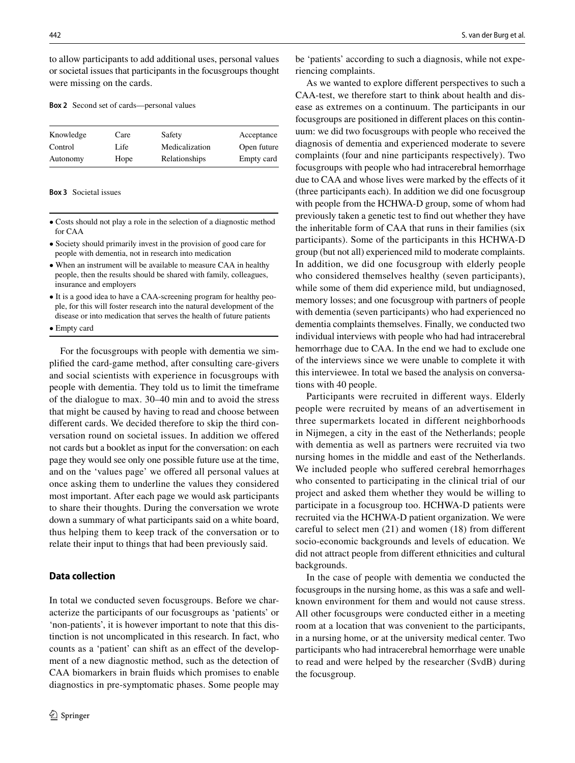to allow participants to add additional uses, personal values or societal issues that participants in the focusgroups thought were missing on the cards.

**Box 2** Second set of cards—personal values

| Knowledge | Care | Safety         | Acceptance  |
|-----------|------|----------------|-------------|
| Control   | Life | Medicalization | Open future |
| Autonomy  | Hope | Relationships  | Empty card  |

**Box 3** Societal issues

- Costs should not play a role in the selection of a diagnostic method for CAA
- Society should primarily invest in the provision of good care for people with dementia, not in research into medication
- When an instrument will be available to measure CAA in healthy people, then the results should be shared with family, colleagues, insurance and employers
- It is a good idea to have a CAA-screening program for healthy people, for this will foster research into the natural development of the disease or into medication that serves the health of future patients

• Empty card

For the focusgroups with people with dementia we simplified the card-game method, after consulting care-givers and social scientists with experience in focusgroups with people with dementia. They told us to limit the timeframe of the dialogue to max. 30–40 min and to avoid the stress that might be caused by having to read and choose between different cards. We decided therefore to skip the third conversation round on societal issues. In addition we offered not cards but a booklet as input for the conversation: on each page they would see only one possible future use at the time, and on the 'values page' we offered all personal values at once asking them to underline the values they considered most important. After each page we would ask participants to share their thoughts. During the conversation we wrote down a summary of what participants said on a white board, thus helping them to keep track of the conversation or to relate their input to things that had been previously said.

#### **Data collection**

In total we conducted seven focusgroups. Before we characterize the participants of our focusgroups as 'patients' or 'non-patients', it is however important to note that this distinction is not uncomplicated in this research. In fact, who counts as a 'patient' can shift as an effect of the development of a new diagnostic method, such as the detection of CAA biomarkers in brain fluids which promises to enable diagnostics in pre-symptomatic phases. Some people may be 'patients' according to such a diagnosis, while not experiencing complaints.

As we wanted to explore different perspectives to such a CAA-test, we therefore start to think about health and disease as extremes on a continuum. The participants in our focusgroups are positioned in different places on this continuum: we did two focusgroups with people who received the diagnosis of dementia and experienced moderate to severe complaints (four and nine participants respectively). Two focusgroups with people who had intracerebral hemorrhage due to CAA and whose lives were marked by the effects of it (three participants each). In addition we did one focusgroup with people from the HCHWA-D group, some of whom had previously taken a genetic test to find out whether they have the inheritable form of CAA that runs in their families (six participants). Some of the participants in this HCHWA-D group (but not all) experienced mild to moderate complaints. In addition, we did one focusgroup with elderly people who considered themselves healthy (seven participants), while some of them did experience mild, but undiagnosed, memory losses; and one focusgroup with partners of people with dementia (seven participants) who had experienced no dementia complaints themselves. Finally, we conducted two individual interviews with people who had had intracerebral hemorrhage due to CAA. In the end we had to exclude one of the interviews since we were unable to complete it with this interviewee. In total we based the analysis on conversations with 40 people.

Participants were recruited in different ways. Elderly people were recruited by means of an advertisement in three supermarkets located in different neighborhoods in Nijmegen, a city in the east of the Netherlands; people with dementia as well as partners were recruited via two nursing homes in the middle and east of the Netherlands. We included people who suffered cerebral hemorrhages who consented to participating in the clinical trial of our project and asked them whether they would be willing to participate in a focusgroup too. HCHWA-D patients were recruited via the HCHWA-D patient organization. We were careful to select men (21) and women (18) from different socio-economic backgrounds and levels of education. We did not attract people from different ethnicities and cultural backgrounds.

In the case of people with dementia we conducted the focusgroups in the nursing home, as this was a safe and wellknown environment for them and would not cause stress. All other focusgroups were conducted either in a meeting room at a location that was convenient to the participants, in a nursing home, or at the university medical center. Two participants who had intracerebral hemorrhage were unable to read and were helped by the researcher (SvdB) during the focusgroup.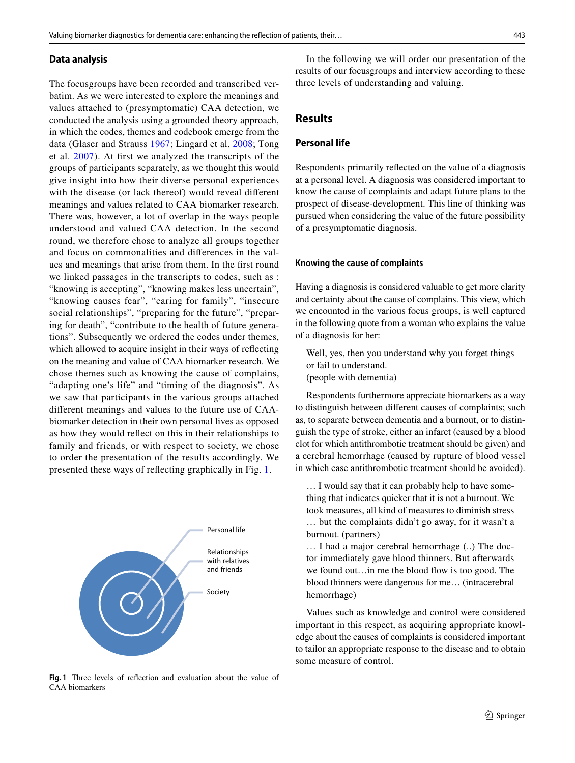#### **Data analysis**

The focusgroups have been recorded and transcribed verbatim. As we were interested to explore the meanings and values attached to (presymptomatic) CAA detection, we conducted the analysis using a grounded theory approach, in which the codes, themes and codebook emerge from the data (Glaser and Strauss [1967](#page-11-17); Lingard et al. [2008](#page-11-18); Tong et al. [2007\)](#page-12-12). At first we analyzed the transcripts of the groups of participants separately, as we thought this would give insight into how their diverse personal experiences with the disease (or lack thereof) would reveal different meanings and values related to CAA biomarker research. There was, however, a lot of overlap in the ways people understood and valued CAA detection. In the second round, we therefore chose to analyze all groups together and focus on commonalities and differences in the values and meanings that arise from them. In the first round we linked passages in the transcripts to codes, such as : "knowing is accepting", "knowing makes less uncertain", "knowing causes fear", "caring for family", "insecure social relationships", "preparing for the future", "preparing for death", "contribute to the health of future generations". Subsequently we ordered the codes under themes, which allowed to acquire insight in their ways of reflecting on the meaning and value of CAA biomarker research. We chose themes such as knowing the cause of complains, "adapting one's life" and "timing of the diagnosis". As we saw that participants in the various groups attached different meanings and values to the future use of CAAbiomarker detection in their own personal lives as opposed as how they would reflect on this in their relationships to family and friends, or with respect to society, we chose to order the presentation of the results accordingly. We presented these ways of reflecting graphically in Fig. [1.](#page-4-0)



<span id="page-4-0"></span>**Fig. 1** Three levels of reflection and evaluation about the value of CAA biomarkers

In the following we will order our presentation of the results of our focusgroups and interview according to these three levels of understanding and valuing.

### **Results**

#### **Personal life**

Respondents primarily reflected on the value of a diagnosis at a personal level. A diagnosis was considered important to know the cause of complaints and adapt future plans to the prospect of disease-development. This line of thinking was pursued when considering the value of the future possibility of a presymptomatic diagnosis.

#### **Knowing the cause of complaints**

Having a diagnosis is considered valuable to get more clarity and certainty about the cause of complains. This view, which we encounted in the various focus groups, is well captured in the following quote from a woman who explains the value of a diagnosis for her:

Well, yes, then you understand why you forget things or fail to understand. (people with dementia)

Respondents furthermore appreciate biomarkers as a way to distinguish between different causes of complaints; such as, to separate between dementia and a burnout, or to distinguish the type of stroke, either an infarct (caused by a blood clot for which antithrombotic treatment should be given) and a cerebral hemorrhage (caused by rupture of blood vessel in which case antithrombotic treatment should be avoided).

… I would say that it can probably help to have something that indicates quicker that it is not a burnout. We took measures, all kind of measures to diminish stress … but the complaints didn't go away, for it wasn't a burnout. (partners)

… I had a major cerebral hemorrhage (..) The doctor immediately gave blood thinners. But afterwards we found out…in me the blood flow is too good. The blood thinners were dangerous for me… (intracerebral hemorrhage)

Values such as knowledge and control were considered important in this respect, as acquiring appropriate knowledge about the causes of complaints is considered important to tailor an appropriate response to the disease and to obtain some measure of control.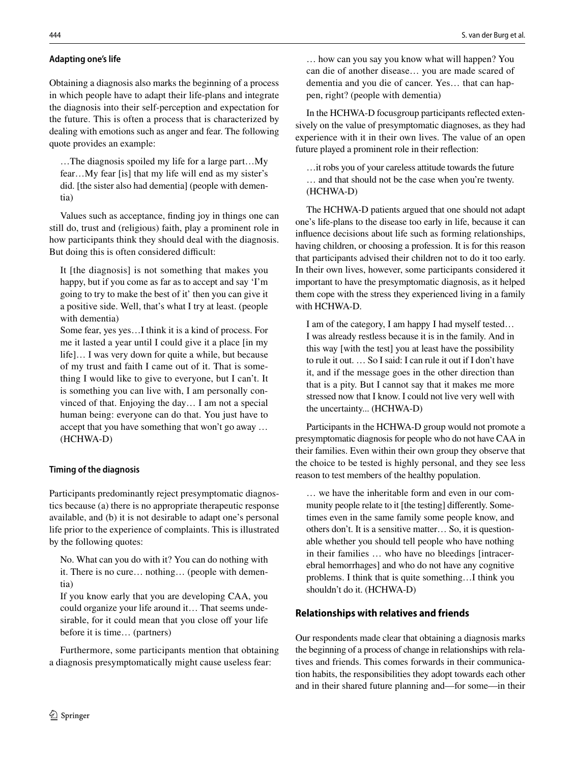### **Adapting one's life**

Obtaining a diagnosis also marks the beginning of a process in which people have to adapt their life-plans and integrate the diagnosis into their self-perception and expectation for the future. This is often a process that is characterized by dealing with emotions such as anger and fear. The following quote provides an example:

…The diagnosis spoiled my life for a large part…My fear…My fear [is] that my life will end as my sister's did. [the sister also had dementia] (people with dementia)

Values such as acceptance, finding joy in things one can still do, trust and (religious) faith, play a prominent role in how participants think they should deal with the diagnosis. But doing this is often considered difficult:

It [the diagnosis] is not something that makes you happy, but if you come as far as to accept and say 'I'm going to try to make the best of it' then you can give it a positive side. Well, that's what I try at least. (people with dementia)

Some fear, yes yes…I think it is a kind of process. For me it lasted a year until I could give it a place [in my life]… I was very down for quite a while, but because of my trust and faith I came out of it. That is something I would like to give to everyone, but I can't. It is something you can live with, I am personally convinced of that. Enjoying the day… I am not a special human being: everyone can do that. You just have to accept that you have something that won't go away … (HCHWA-D)

### **Timing of the diagnosis**

Participants predominantly reject presymptomatic diagnostics because (a) there is no appropriate therapeutic response available, and (b) it is not desirable to adapt one's personal life prior to the experience of complaints. This is illustrated by the following quotes:

No. What can you do with it? You can do nothing with it. There is no cure… nothing… (people with dementia)

If you know early that you are developing CAA, you could organize your life around it… That seems undesirable, for it could mean that you close off your life before it is time… (partners)

Furthermore, some participants mention that obtaining a diagnosis presymptomatically might cause useless fear:

… how can you say you know what will happen? You can die of another disease… you are made scared of dementia and you die of cancer. Yes… that can happen, right? (people with dementia)

In the HCHWA-D focusgroup participants reflected extensively on the value of presymptomatic diagnoses, as they had experience with it in their own lives. The value of an open future played a prominent role in their reflection:

…it robs you of your careless attitude towards the future … and that should not be the case when you're twenty. (HCHWA-D)

The HCHWA-D patients argued that one should not adapt one's life-plans to the disease too early in life, because it can influence decisions about life such as forming relationships, having children, or choosing a profession. It is for this reason that participants advised their children not to do it too early. In their own lives, however, some participants considered it important to have the presymptomatic diagnosis, as it helped them cope with the stress they experienced living in a family with HCHWA-D.

I am of the category, I am happy I had myself tested… I was already restless because it is in the family. And in this way [with the test] you at least have the possibility to rule it out. … So I said: I can rule it out if I don't have it, and if the message goes in the other direction than that is a pity. But I cannot say that it makes me more stressed now that I know. I could not live very well with the uncertainty... (HCHWA-D)

Participants in the HCHWA-D group would not promote a presymptomatic diagnosis for people who do not have CAA in their families. Even within their own group they observe that the choice to be tested is highly personal, and they see less reason to test members of the healthy population.

… we have the inheritable form and even in our community people relate to it [the testing] differently. Sometimes even in the same family some people know, and others don't. It is a sensitive matter… So, it is questionable whether you should tell people who have nothing in their families … who have no bleedings [intracerebral hemorrhages] and who do not have any cognitive problems. I think that is quite something…I think you shouldn't do it. (HCHWA-D)

# **Relationships with relatives and friends**

Our respondents made clear that obtaining a diagnosis marks the beginning of a process of change in relationships with relatives and friends. This comes forwards in their communication habits, the responsibilities they adopt towards each other and in their shared future planning and—for some—in their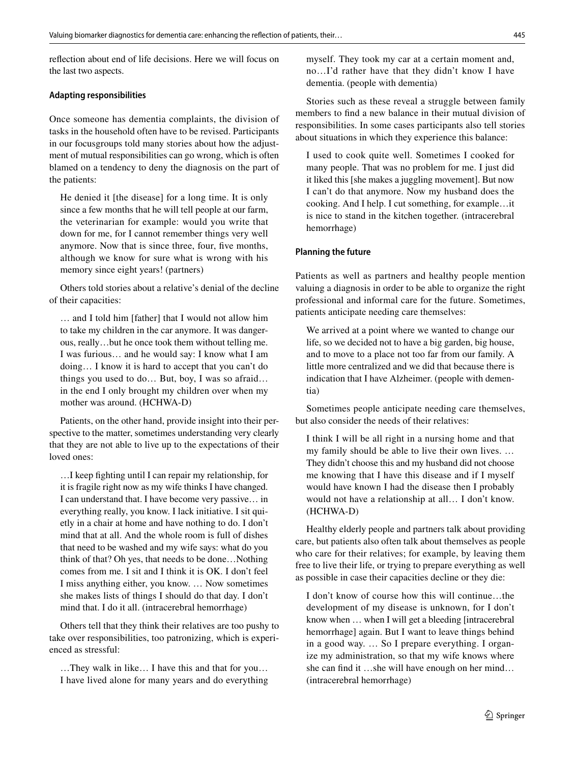reflection about end of life decisions. Here we will focus on the last two aspects.

#### **Adapting responsibilities**

Once someone has dementia complaints, the division of tasks in the household often have to be revised. Participants in our focusgroups told many stories about how the adjustment of mutual responsibilities can go wrong, which is often blamed on a tendency to deny the diagnosis on the part of the patients:

He denied it [the disease] for a long time. It is only since a few months that he will tell people at our farm, the veterinarian for example: would you write that down for me, for I cannot remember things very well anymore. Now that is since three, four, five months, although we know for sure what is wrong with his memory since eight years! (partners)

Others told stories about a relative's denial of the decline of their capacities:

… and I told him [father] that I would not allow him to take my children in the car anymore. It was dangerous, really…but he once took them without telling me. I was furious… and he would say: I know what I am doing… I know it is hard to accept that you can't do things you used to do… But, boy, I was so afraid… in the end I only brought my children over when my mother was around. (HCHWA-D)

Patients, on the other hand, provide insight into their perspective to the matter, sometimes understanding very clearly that they are not able to live up to the expectations of their loved ones:

…I keep fighting until I can repair my relationship, for it is fragile right now as my wife thinks I have changed. I can understand that. I have become very passive… in everything really, you know. I lack initiative. I sit quietly in a chair at home and have nothing to do. I don't mind that at all. And the whole room is full of dishes that need to be washed and my wife says: what do you think of that? Oh yes, that needs to be done…Nothing comes from me. I sit and I think it is OK. I don't feel I miss anything either, you know. … Now sometimes she makes lists of things I should do that day. I don't mind that. I do it all. (intracerebral hemorrhage)

Others tell that they think their relatives are too pushy to take over responsibilities, too patronizing, which is experienced as stressful:

…They walk in like… I have this and that for you… I have lived alone for many years and do everything myself. They took my car at a certain moment and, no…I'd rather have that they didn't know I have dementia. (people with dementia)

Stories such as these reveal a struggle between family members to find a new balance in their mutual division of responsibilities. In some cases participants also tell stories about situations in which they experience this balance:

I used to cook quite well. Sometimes I cooked for many people. That was no problem for me. I just did it liked this [she makes a juggling movement]. But now I can't do that anymore. Now my husband does the cooking. And I help. I cut something, for example…it is nice to stand in the kitchen together. (intracerebral hemorrhage)

### **Planning the future**

Patients as well as partners and healthy people mention valuing a diagnosis in order to be able to organize the right professional and informal care for the future. Sometimes, patients anticipate needing care themselves:

We arrived at a point where we wanted to change our life, so we decided not to have a big garden, big house, and to move to a place not too far from our family. A little more centralized and we did that because there is indication that I have Alzheimer. (people with dementia)

Sometimes people anticipate needing care themselves, but also consider the needs of their relatives:

I think I will be all right in a nursing home and that my family should be able to live their own lives. … They didn't choose this and my husband did not choose me knowing that I have this disease and if I myself would have known I had the disease then I probably would not have a relationship at all… I don't know. (HCHWA-D)

Healthy elderly people and partners talk about providing care, but patients also often talk about themselves as people who care for their relatives; for example, by leaving them free to live their life, or trying to prepare everything as well as possible in case their capacities decline or they die:

I don't know of course how this will continue…the development of my disease is unknown, for I don't know when … when I will get a bleeding [intracerebral hemorrhage] again. But I want to leave things behind in a good way. … So I prepare everything. I organize my administration, so that my wife knows where she can find it …she will have enough on her mind… (intracerebral hemorrhage)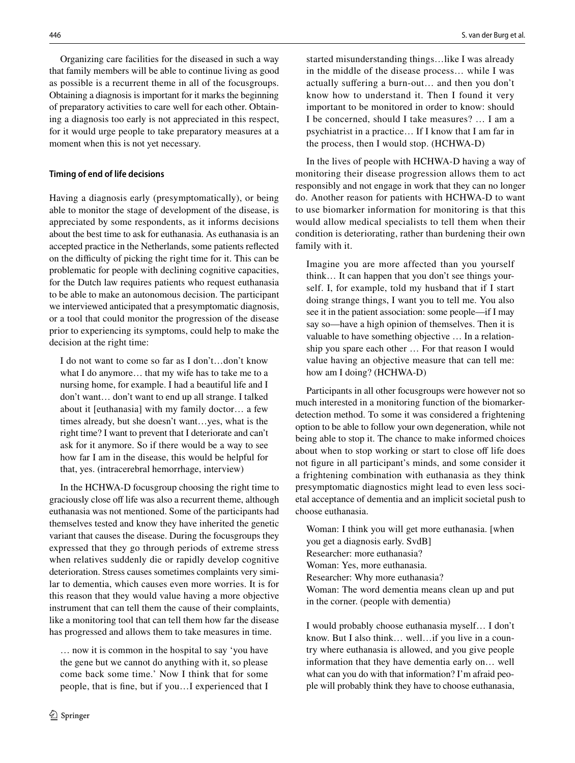Organizing care facilities for the diseased in such a way that family members will be able to continue living as good as possible is a recurrent theme in all of the focusgroups. Obtaining a diagnosis is important for it marks the beginning of preparatory activities to care well for each other. Obtaining a diagnosis too early is not appreciated in this respect, for it would urge people to take preparatory measures at a moment when this is not yet necessary.

#### **Timing of end of life decisions**

Having a diagnosis early (presymptomatically), or being able to monitor the stage of development of the disease, is appreciated by some respondents, as it informs decisions about the best time to ask for euthanasia. As euthanasia is an accepted practice in the Netherlands, some patients reflected on the difficulty of picking the right time for it. This can be problematic for people with declining cognitive capacities, for the Dutch law requires patients who request euthanasia to be able to make an autonomous decision. The participant we interviewed anticipated that a presymptomatic diagnosis, or a tool that could monitor the progression of the disease prior to experiencing its symptoms, could help to make the decision at the right time:

I do not want to come so far as I don't…don't know what I do anymore… that my wife has to take me to a nursing home, for example. I had a beautiful life and I don't want… don't want to end up all strange. I talked about it [euthanasia] with my family doctor… a few times already, but she doesn't want…yes, what is the right time? I want to prevent that I deteriorate and can't ask for it anymore. So if there would be a way to see how far I am in the disease, this would be helpful for that, yes. (intracerebral hemorrhage, interview)

In the HCHWA-D focusgroup choosing the right time to graciously close off life was also a recurrent theme, although euthanasia was not mentioned. Some of the participants had themselves tested and know they have inherited the genetic variant that causes the disease. During the focusgroups they expressed that they go through periods of extreme stress when relatives suddenly die or rapidly develop cognitive deterioration. Stress causes sometimes complaints very similar to dementia, which causes even more worries. It is for this reason that they would value having a more objective instrument that can tell them the cause of their complaints, like a monitoring tool that can tell them how far the disease has progressed and allows them to take measures in time.

… now it is common in the hospital to say 'you have the gene but we cannot do anything with it, so please come back some time.' Now I think that for some people, that is fine, but if you…I experienced that I started misunderstanding things…like I was already in the middle of the disease process… while I was actually suffering a burn-out… and then you don't know how to understand it. Then I found it very important to be monitored in order to know: should I be concerned, should I take measures? … I am a psychiatrist in a practice… If I know that I am far in the process, then I would stop. (HCHWA-D)

In the lives of people with HCHWA-D having a way of monitoring their disease progression allows them to act responsibly and not engage in work that they can no longer do. Another reason for patients with HCHWA-D to want to use biomarker information for monitoring is that this would allow medical specialists to tell them when their condition is deteriorating, rather than burdening their own family with it.

Imagine you are more affected than you yourself think… It can happen that you don't see things yourself. I, for example, told my husband that if I start doing strange things, I want you to tell me. You also see it in the patient association: some people—if I may say so—have a high opinion of themselves. Then it is valuable to have something objective … In a relationship you spare each other … For that reason I would value having an objective measure that can tell me: how am I doing? (HCHWA-D)

Participants in all other focusgroups were however not so much interested in a monitoring function of the biomarkerdetection method. To some it was considered a frightening option to be able to follow your own degeneration, while not being able to stop it. The chance to make informed choices about when to stop working or start to close off life does not figure in all participant's minds, and some consider it a frightening combination with euthanasia as they think presymptomatic diagnostics might lead to even less societal acceptance of dementia and an implicit societal push to choose euthanasia.

Woman: I think you will get more euthanasia. [when you get a diagnosis early. SvdB] Researcher: more euthanasia? Woman: Yes, more euthanasia. Researcher: Why more euthanasia? Woman: The word dementia means clean up and put in the corner. (people with dementia)

I would probably choose euthanasia myself… I don't know. But I also think… well…if you live in a country where euthanasia is allowed, and you give people information that they have dementia early on… well what can you do with that information? I'm afraid people will probably think they have to choose euthanasia,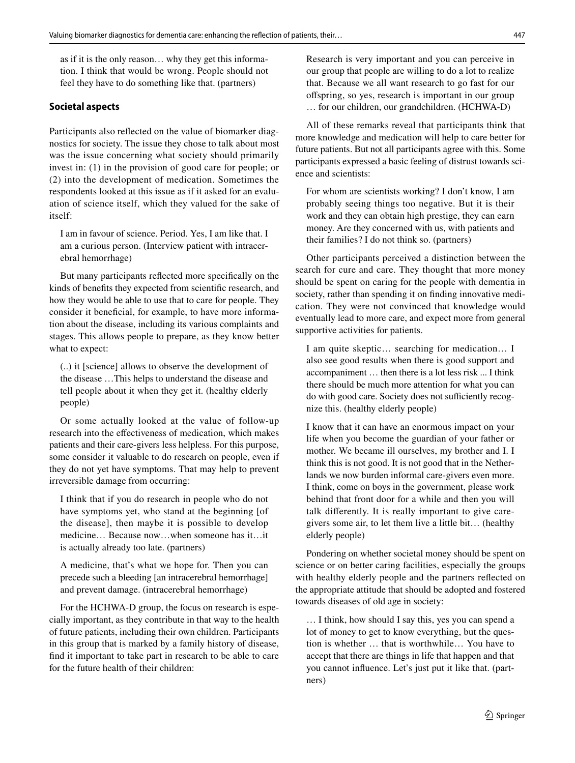as if it is the only reason… why they get this information. I think that would be wrong. People should not feel they have to do something like that. (partners)

#### **Societal aspects**

Participants also reflected on the value of biomarker diagnostics for society. The issue they chose to talk about most was the issue concerning what society should primarily invest in: (1) in the provision of good care for people; or (2) into the development of medication. Sometimes the respondents looked at this issue as if it asked for an evaluation of science itself, which they valued for the sake of itself:

I am in favour of science. Period. Yes, I am like that. I am a curious person. (Interview patient with intracerebral hemorrhage)

But many participants reflected more specifically on the kinds of benefits they expected from scientific research, and how they would be able to use that to care for people. They consider it beneficial, for example, to have more information about the disease, including its various complaints and stages. This allows people to prepare, as they know better what to expect:

(..) it [science] allows to observe the development of the disease …This helps to understand the disease and tell people about it when they get it. (healthy elderly people)

Or some actually looked at the value of follow-up research into the effectiveness of medication, which makes patients and their care-givers less helpless. For this purpose, some consider it valuable to do research on people, even if they do not yet have symptoms. That may help to prevent irreversible damage from occurring:

I think that if you do research in people who do not have symptoms yet, who stand at the beginning [of the disease], then maybe it is possible to develop medicine… Because now…when someone has it…it is actually already too late. (partners)

A medicine, that's what we hope for. Then you can precede such a bleeding [an intracerebral hemorrhage] and prevent damage. (intracerebral hemorrhage)

For the HCHWA-D group, the focus on research is especially important, as they contribute in that way to the health of future patients, including their own children. Participants in this group that is marked by a family history of disease, find it important to take part in research to be able to care for the future health of their children:

Research is very important and you can perceive in our group that people are willing to do a lot to realize that. Because we all want research to go fast for our offspring, so yes, research is important in our group … for our children, our grandchildren. (HCHWA-D)

All of these remarks reveal that participants think that more knowledge and medication will help to care better for future patients. But not all participants agree with this. Some participants expressed a basic feeling of distrust towards science and scientists:

For whom are scientists working? I don't know, I am probably seeing things too negative. But it is their work and they can obtain high prestige, they can earn money. Are they concerned with us, with patients and their families? I do not think so. (partners)

Other participants perceived a distinction between the search for cure and care. They thought that more money should be spent on caring for the people with dementia in society, rather than spending it on finding innovative medication. They were not convinced that knowledge would eventually lead to more care, and expect more from general supportive activities for patients.

I am quite skeptic… searching for medication… I also see good results when there is good support and accompaniment … then there is a lot less risk ... I think there should be much more attention for what you can do with good care. Society does not sufficiently recognize this. (healthy elderly people)

I know that it can have an enormous impact on your life when you become the guardian of your father or mother. We became ill ourselves, my brother and I. I think this is not good. It is not good that in the Netherlands we now burden informal care-givers even more. I think, come on boys in the government, please work behind that front door for a while and then you will talk differently. It is really important to give caregivers some air, to let them live a little bit… (healthy elderly people)

Pondering on whether societal money should be spent on science or on better caring facilities, especially the groups with healthy elderly people and the partners reflected on the appropriate attitude that should be adopted and fostered towards diseases of old age in society:

… I think, how should I say this, yes you can spend a lot of money to get to know everything, but the question is whether … that is worthwhile… You have to accept that there are things in life that happen and that you cannot influence. Let's just put it like that. (partners)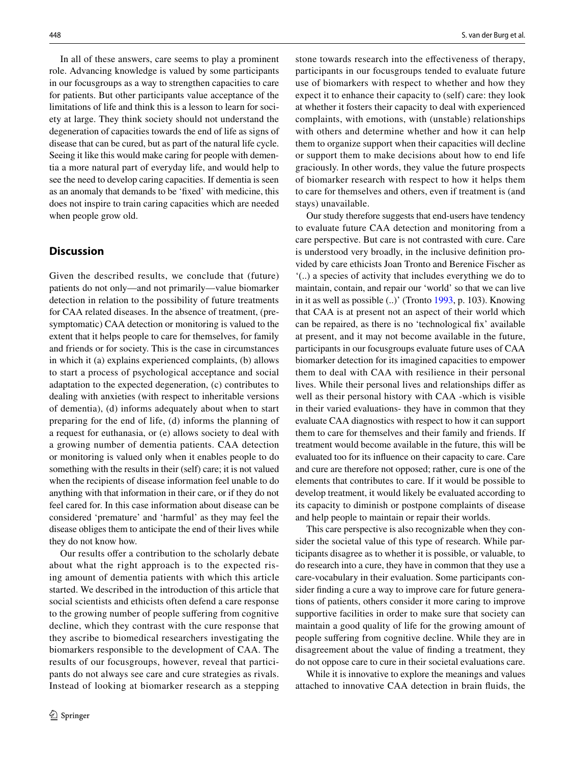In all of these answers, care seems to play a prominent role. Advancing knowledge is valued by some participants in our focusgroups as a way to strengthen capacities to care for patients. But other participants value acceptance of the limitations of life and think this is a lesson to learn for society at large. They think society should not understand the degeneration of capacities towards the end of life as signs of disease that can be cured, but as part of the natural life cycle. Seeing it like this would make caring for people with dementia a more natural part of everyday life, and would help to see the need to develop caring capacities. If dementia is seen as an anomaly that demands to be 'fixed' with medicine, this does not inspire to train caring capacities which are needed when people grow old.

### **Discussion**

Given the described results, we conclude that (future) patients do not only—and not primarily—value biomarker detection in relation to the possibility of future treatments for CAA related diseases. In the absence of treatment, (presymptomatic) CAA detection or monitoring is valued to the extent that it helps people to care for themselves, for family and friends or for society. This is the case in circumstances in which it (a) explains experienced complaints, (b) allows to start a process of psychological acceptance and social adaptation to the expected degeneration, (c) contributes to dealing with anxieties (with respect to inheritable versions of dementia), (d) informs adequately about when to start preparing for the end of life, (d) informs the planning of a request for euthanasia, or (e) allows society to deal with a growing number of dementia patients. CAA detection or monitoring is valued only when it enables people to do something with the results in their (self) care; it is not valued when the recipients of disease information feel unable to do anything with that information in their care, or if they do not feel cared for. In this case information about disease can be considered 'premature' and 'harmful' as they may feel the disease obliges them to anticipate the end of their lives while they do not know how.

Our results offer a contribution to the scholarly debate about what the right approach is to the expected rising amount of dementia patients with which this article started. We described in the introduction of this article that social scientists and ethicists often defend a care response to the growing number of people suffering from cognitive decline, which they contrast with the cure response that they ascribe to biomedical researchers investigating the biomarkers responsible to the development of CAA. The results of our focusgroups, however, reveal that participants do not always see care and cure strategies as rivals. Instead of looking at biomarker research as a stepping stone towards research into the effectiveness of therapy, participants in our focusgroups tended to evaluate future use of biomarkers with respect to whether and how they expect it to enhance their capacity to (self) care: they look at whether it fosters their capacity to deal with experienced complaints, with emotions, with (unstable) relationships with others and determine whether and how it can help them to organize support when their capacities will decline or support them to make decisions about how to end life graciously. In other words, they value the future prospects of biomarker research with respect to how it helps them to care for themselves and others, even if treatment is (and stays) unavailable.

Our study therefore suggests that end-users have tendency to evaluate future CAA detection and monitoring from a care perspective. But care is not contrasted with cure. Care is understood very broadly, in the inclusive definition provided by care ethicists Joan Tronto and Berenice Fischer as '(..) a species of activity that includes everything we do to maintain, contain, and repair our 'world' so that we can live in it as well as possible (..)' (Tronto [1993,](#page-12-13) p. 103). Knowing that CAA is at present not an aspect of their world which can be repaired, as there is no 'technological fix' available at present, and it may not become available in the future, participants in our focusgroups evaluate future uses of CAA biomarker detection for its imagined capacities to empower them to deal with CAA with resilience in their personal lives. While their personal lives and relationships differ as well as their personal history with CAA -which is visible in their varied evaluations- they have in common that they evaluate CAA diagnostics with respect to how it can support them to care for themselves and their family and friends. If treatment would become available in the future, this will be evaluated too for its influence on their capacity to care. Care and cure are therefore not opposed; rather, cure is one of the elements that contributes to care. If it would be possible to develop treatment, it would likely be evaluated according to its capacity to diminish or postpone complaints of disease and help people to maintain or repair their worlds.

This care perspective is also recognizable when they consider the societal value of this type of research. While participants disagree as to whether it is possible, or valuable, to do research into a cure, they have in common that they use a care-vocabulary in their evaluation. Some participants consider finding a cure a way to improve care for future generations of patients, others consider it more caring to improve supportive facilities in order to make sure that society can maintain a good quality of life for the growing amount of people suffering from cognitive decline. While they are in disagreement about the value of finding a treatment, they do not oppose care to cure in their societal evaluations care.

While it is innovative to explore the meanings and values attached to innovative CAA detection in brain fluids, the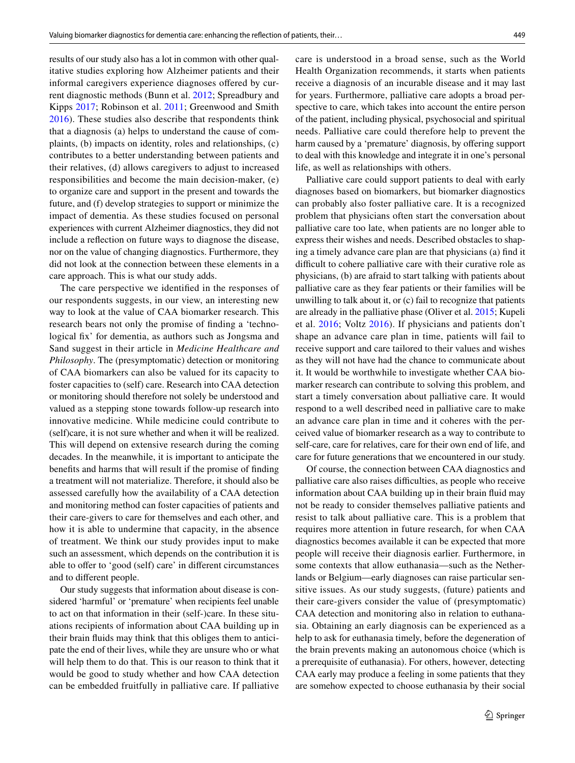results of our study also has a lot in common with other qualitative studies exploring how Alzheimer patients and their informal caregivers experience diagnoses offered by current diagnostic methods (Bunn et al. [2012](#page-11-11); Spreadbury and Kipps [2017](#page-12-14); Robinson et al. [2011;](#page-12-15) Greenwood and Smith [2016\)](#page-11-19). These studies also describe that respondents think that a diagnosis (a) helps to understand the cause of complaints, (b) impacts on identity, roles and relationships, (c) contributes to a better understanding between patients and their relatives, (d) allows caregivers to adjust to increased responsibilities and become the main decision-maker, (e) to organize care and support in the present and towards the future, and (f) develop strategies to support or minimize the impact of dementia. As these studies focused on personal experiences with current Alzheimer diagnostics, they did not include a reflection on future ways to diagnose the disease, nor on the value of changing diagnostics. Furthermore, they did not look at the connection between these elements in a care approach. This is what our study adds.

The care perspective we identified in the responses of our respondents suggests, in our view, an interesting new way to look at the value of CAA biomarker research. This research bears not only the promise of finding a 'technological fix' for dementia, as authors such as Jongsma and Sand suggest in their article in *Medicine Healthcare and Philosophy*. The (presymptomatic) detection or monitoring of CAA biomarkers can also be valued for its capacity to foster capacities to (self) care. Research into CAA detection or monitoring should therefore not solely be understood and valued as a stepping stone towards follow-up research into innovative medicine. While medicine could contribute to (self)care, it is not sure whether and when it will be realized. This will depend on extensive research during the coming decades. In the meanwhile, it is important to anticipate the benefits and harms that will result if the promise of finding a treatment will not materialize. Therefore, it should also be assessed carefully how the availability of a CAA detection and monitoring method can foster capacities of patients and their care-givers to care for themselves and each other, and how it is able to undermine that capacity, in the absence of treatment. We think our study provides input to make such an assessment, which depends on the contribution it is able to offer to 'good (self) care' in different circumstances and to different people.

Our study suggests that information about disease is considered 'harmful' or 'premature' when recipients feel unable to act on that information in their (self-)care. In these situations recipients of information about CAA building up in their brain fluids may think that this obliges them to anticipate the end of their lives, while they are unsure who or what will help them to do that. This is our reason to think that it would be good to study whether and how CAA detection can be embedded fruitfully in palliative care. If palliative care is understood in a broad sense, such as the World Health Organization recommends, it starts when patients receive a diagnosis of an incurable disease and it may last for years. Furthermore, palliative care adopts a broad perspective to care, which takes into account the entire person of the patient, including physical, psychosocial and spiritual needs. Palliative care could therefore help to prevent the harm caused by a 'premature' diagnosis, by offering support to deal with this knowledge and integrate it in one's personal life, as well as relationships with others.

Palliative care could support patients to deal with early diagnoses based on biomarkers, but biomarker diagnostics can probably also foster palliative care. It is a recognized problem that physicians often start the conversation about palliative care too late, when patients are no longer able to express their wishes and needs. Described obstacles to shaping a timely advance care plan are that physicians (a) find it difficult to cohere palliative care with their curative role as physicians, (b) are afraid to start talking with patients about palliative care as they fear patients or their families will be unwilling to talk about it, or (c) fail to recognize that patients are already in the palliative phase (Oliver et al. [2015](#page-12-1); Kupeli et al. [2016;](#page-11-20) Voltz [2016](#page-12-16)). If physicians and patients don't shape an advance care plan in time, patients will fail to receive support and care tailored to their values and wishes as they will not have had the chance to communicate about it. It would be worthwhile to investigate whether CAA biomarker research can contribute to solving this problem, and start a timely conversation about palliative care. It would respond to a well described need in palliative care to make an advance care plan in time and it coheres with the perceived value of biomarker research as a way to contribute to self-care, care for relatives, care for their own end of life, and care for future generations that we encountered in our study.

Of course, the connection between CAA diagnostics and palliative care also raises difficulties, as people who receive information about CAA building up in their brain fluid may not be ready to consider themselves palliative patients and resist to talk about palliative care. This is a problem that requires more attention in future research, for when CAA diagnostics becomes available it can be expected that more people will receive their diagnosis earlier. Furthermore, in some contexts that allow euthanasia—such as the Netherlands or Belgium—early diagnoses can raise particular sensitive issues. As our study suggests, (future) patients and their care-givers consider the value of (presymptomatic) CAA detection and monitoring also in relation to euthanasia. Obtaining an early diagnosis can be experienced as a help to ask for euthanasia timely, before the degeneration of the brain prevents making an autonomous choice (which is a prerequisite of euthanasia). For others, however, detecting CAA early may produce a feeling in some patients that they are somehow expected to choose euthanasia by their social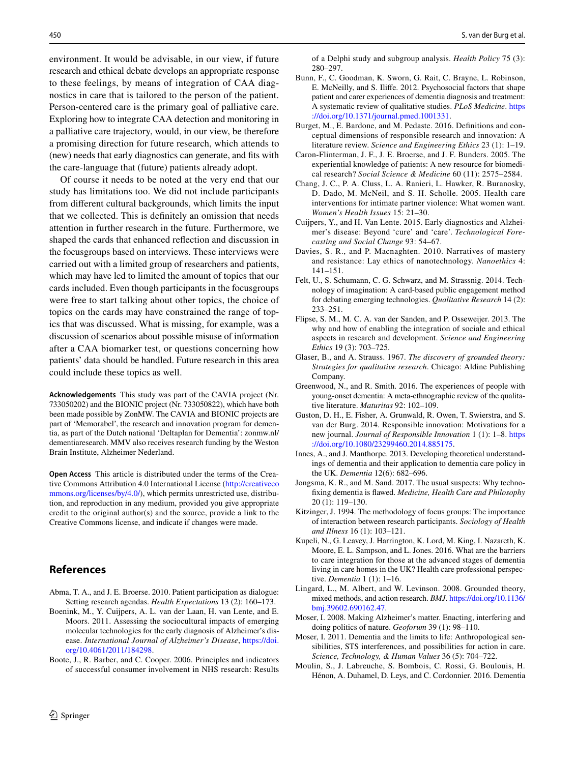environment. It would be advisable, in our view, if future research and ethical debate develops an appropriate response to these feelings, by means of integration of CAA diagnostics in care that is tailored to the person of the patient. Person-centered care is the primary goal of palliative care. Exploring how to integrate CAA detection and monitoring in a palliative care trajectory, would, in our view, be therefore a promising direction for future research, which attends to (new) needs that early diagnostics can generate, and fits with the care-language that (future) patients already adopt.

Of course it needs to be noted at the very end that our study has limitations too. We did not include participants from different cultural backgrounds, which limits the input that we collected. This is definitely an omission that needs attention in further research in the future. Furthermore, we shaped the cards that enhanced reflection and discussion in the focusgroups based on interviews. These interviews were carried out with a limited group of researchers and patients, which may have led to limited the amount of topics that our cards included. Even though participants in the focusgroups were free to start talking about other topics, the choice of topics on the cards may have constrained the range of topics that was discussed. What is missing, for example, was a discussion of scenarios about possible misuse of information after a CAA biomarker test, or questions concerning how patients' data should be handled. Future research in this area could include these topics as well.

**Acknowledgements** This study was part of the CAVIA project (Nr. 733050202) and the BIONIC project (Nr. 733050822), which have both been made possible by ZonMW. The CAVIA and BIONIC projects are part of 'Memorabel', the research and innovation program for dementia, as part of the Dutch national 'Deltaplan for Dementia': zonmw.nl/ dementiaresearch. MMV also receives research funding by the Weston Brain Institute, Alzheimer Nederland.

**Open Access** This article is distributed under the terms of the Creative Commons Attribution 4.0 International License [\(http://creativeco](http://creativecommons.org/licenses/by/4.0/) [mmons.org/licenses/by/4.0/](http://creativecommons.org/licenses/by/4.0/)), which permits unrestricted use, distribution, and reproduction in any medium, provided you give appropriate credit to the original author(s) and the source, provide a link to the Creative Commons license, and indicate if changes were made.

### **References**

- <span id="page-11-7"></span>Abma, T. A., and J. E. Broerse. 2010. Patient participation as dialogue: Setting research agendas. *Health Expectations* 13 (2): 160–173.
- <span id="page-11-3"></span>Boenink, M., Y. Cuijpers, A. L. van der Laan, H. van Lente, and E. Moors. 2011. Assessing the sociocultural impacts of emerging molecular technologies for the early diagnosis of Alzheimer's disease. *International Journal of Alzheimer's Disease*, [https://doi.](https://doi.org/10.4061/2011/184298) [org/10.4061/2011/184298](https://doi.org/10.4061/2011/184298).
- <span id="page-11-6"></span>Boote, J., R. Barber, and C. Cooper. 2006. Principles and indicators of successful consumer involvement in NHS research: Results

of a Delphi study and subgroup analysis. *Health Policy* 75 (3): 280–297.

- Bunn, F., C. Goodman, K. Sworn, G. Rait, C. Brayne, L. Robinson, E. McNeilly, and S. Iliffe. 2012. Psychosocial factors that shape patient and carer experiences of dementia diagnosis and treatment: A systematic review of qualitative studies. *PLoS Medicine*. [https](https://doi.org/10.1371/journal.pmed.1001331) [://doi.org/10.1371/journal.pmed.1001331.](https://doi.org/10.1371/journal.pmed.1001331)
- <span id="page-11-11"></span>Burget, M., E. Bardone, and M. Pedaste. 2016. Definitions and conceptual dimensions of responsible research and innovation: A literature review. *Science and Engineering Ethics* 23 (1): 1–19.
- <span id="page-11-8"></span>Caron-Flinterman, J. F., J. E. Broerse, and J. F. Bunders. 2005. The experiential knowledge of patients: A new resource for biomedical research? *Social Science & Medicine* 60 (11): 2575–2584.
- <span id="page-11-14"></span>Chang, J. C., P. A. Cluss, L. A. Ranieri, L. Hawker, R. Buranosky, D. Dado, M. McNeil, and S. H. Scholle. 2005. Health care interventions for intimate partner violence: What women want. *Women's Health Issues* 15: 21–30.
- <span id="page-11-1"></span>Cuijpers, Y., and H. Van Lente. 2015. Early diagnostics and Alzheimer's disease: Beyond 'cure' and 'care'. *Technological Forecasting and Social Change* 93: 54–67.
- <span id="page-11-15"></span>Davies, S. R., and P. Macnaghten. 2010. Narratives of mastery and resistance: Lay ethics of nanotechnology. *Nanoethics* 4: 141–151.
- <span id="page-11-16"></span>Felt, U., S. Schumann, C. G. Schwarz, and M. Strassnig. 2014. Technology of imagination: A card-based public engagement method for debating emerging technologies. *Qualitative Research* 14 (2): 233–251.
- <span id="page-11-10"></span>Flipse, S. M., M. C. A. van der Sanden, and P. Osseweijer. 2013. The why and how of enabling the integration of sociale and ethical aspects in research and development. *Science and Engineering Ethics* 19 (3): 703–725.
- <span id="page-11-17"></span>Glaser, B., and A. Strauss. 1967. *The discovery of grounded theory: Strategies for qualitative research*. Chicago: Aldine Publishing Company.
- <span id="page-11-19"></span>Greenwood, N., and R. Smith. 2016. The experiences of people with young-onset dementia: A meta-ethnographic review of the qualitative literature. *Maturitas* 92: 102–109.
- <span id="page-11-12"></span>Guston, D. H., E. Fisher, A. Grunwald, R. Owen, T. Swierstra, and S. van der Burg. 2014. Responsible innovation: Motivations for a new journal. *Journal of Responsible Innovation* 1 (1): 1–8. [https](https://doi.org/10.1080/23299460.2014.885175) [://doi.org/10.1080/23299460.2014.885175](https://doi.org/10.1080/23299460.2014.885175).
- <span id="page-11-2"></span>Innes, A., and J. Manthorpe. 2013. Developing theoretical understandings of dementia and their application to dementia care policy in the UK. *Dementia* 12(6): 682–696.
- <span id="page-11-0"></span>Jongsma, K. R., and M. Sand. 2017. The usual suspects: Why technofixing dementia is flawed. *Medicine, Health Care and Philosophy* 20 (1): 119–130.
- <span id="page-11-13"></span>Kitzinger, J. 1994. The methodology of focus groups: The importance of interaction between research participants. *Sociology of Health and Illness* 16 (1): 103–121.
- <span id="page-11-20"></span>Kupeli, N., G. Leavey, J. Harrington, K. Lord, M. King, I. Nazareth, K. Moore, E. L. Sampson, and L. Jones. 2016. What are the barriers to care integration for those at the advanced stages of dementia living in care homes in the UK? Health care professional perspective. *Dementia* 1 (1): 1–16.
- <span id="page-11-18"></span>Lingard, L., M. Albert, and W. Levinson. 2008. Grounded theory, mixed methods, and action research. *BMJ*. [https://doi.org/10.1136/](https://doi.org/10.1136/bmj.39602.690162.47) [bmj.39602.690162.47.](https://doi.org/10.1136/bmj.39602.690162.47)
- <span id="page-11-4"></span>Moser, I. 2008. Making Alzheimer's matter. Enacting, interfering and doing politics of nature. *Geoforum* 39 (1): 98–110.
- <span id="page-11-5"></span>Moser, I. 2011. Dementia and the limits to life: Anthropological sensibilities, STS interferences, and possibilities for action in care. *Science, Technology, & Human Values* 36 (5): 704–722.
- <span id="page-11-9"></span>Moulin, S., J. Labreuche, S. Bombois, C. Rossi, G. Boulouis, H. Hénon, A. Duhamel, D. Leys, and C. Cordonnier. 2016. Dementia